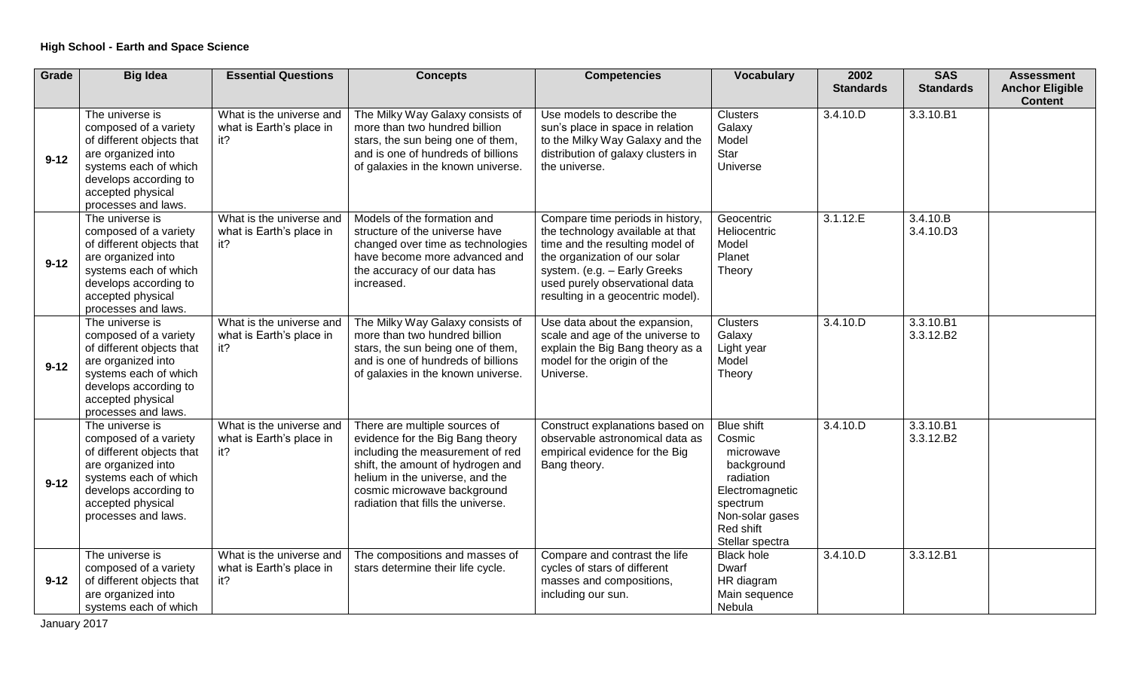| Grade    | <b>Big Idea</b>                                                                                                                                                                           | <b>Essential Questions</b>                                  | <b>Concepts</b>                                                                                                                                                                                                                                    | <b>Competencies</b>                                                                                                                                                                                                                             | <b>Vocabulary</b>                                                                                                                                     | 2002             | <b>SAS</b>             | <b>Assessment</b>                        |
|----------|-------------------------------------------------------------------------------------------------------------------------------------------------------------------------------------------|-------------------------------------------------------------|----------------------------------------------------------------------------------------------------------------------------------------------------------------------------------------------------------------------------------------------------|-------------------------------------------------------------------------------------------------------------------------------------------------------------------------------------------------------------------------------------------------|-------------------------------------------------------------------------------------------------------------------------------------------------------|------------------|------------------------|------------------------------------------|
|          |                                                                                                                                                                                           |                                                             |                                                                                                                                                                                                                                                    |                                                                                                                                                                                                                                                 |                                                                                                                                                       | <b>Standards</b> | <b>Standards</b>       | <b>Anchor Eligible</b><br><b>Content</b> |
| $9 - 12$ | The universe is<br>composed of a variety<br>of different objects that<br>are organized into<br>systems each of which<br>develops according to<br>accepted physical<br>processes and laws. | What is the universe and<br>what is Earth's place in<br>it? | The Milky Way Galaxy consists of<br>more than two hundred billion<br>stars, the sun being one of them,<br>and is one of hundreds of billions<br>of galaxies in the known universe.                                                                 | Use models to describe the<br>sun's place in space in relation<br>to the Milky Way Galaxy and the<br>distribution of galaxy clusters in<br>the universe.                                                                                        | <b>Clusters</b><br>Galaxy<br>Model<br>Star<br>Universe                                                                                                | 3.4.10.D         | 3.3.10.B1              |                                          |
| $9 - 12$ | The universe is<br>composed of a variety<br>of different objects that<br>are organized into<br>systems each of which<br>develops according to<br>accepted physical<br>processes and laws. | What is the universe and<br>what is Earth's place in<br>it? | Models of the formation and<br>structure of the universe have<br>changed over time as technologies<br>have become more advanced and<br>the accuracy of our data has<br>increased.                                                                  | Compare time periods in history,<br>the technology available at that<br>time and the resulting model of<br>the organization of our solar<br>system. (e.g. - Early Greeks<br>used purely observational data<br>resulting in a geocentric model). | Geocentric<br>Heliocentric<br>Model<br>Planet<br>Theory                                                                                               | 3.1.12.E         | 3.4.10.B<br>3.4.10.D3  |                                          |
| $9 - 12$ | The universe is<br>composed of a variety<br>of different objects that<br>are organized into<br>systems each of which<br>develops according to<br>accepted physical<br>processes and laws. | What is the universe and<br>what is Earth's place in<br>it? | The Milky Way Galaxy consists of<br>more than two hundred billion<br>stars, the sun being one of them,<br>and is one of hundreds of billions<br>of galaxies in the known universe.                                                                 | Use data about the expansion,<br>scale and age of the universe to<br>explain the Big Bang theory as a<br>model for the origin of the<br>Universe.                                                                                               | <b>Clusters</b><br>Galaxy<br>Light year<br>Model<br>Theory                                                                                            | 3.4.10.D         | 3.3.10.B1<br>3.3.12.B2 |                                          |
| $9 - 12$ | The universe is<br>composed of a variety<br>of different objects that<br>are organized into<br>systems each of which<br>develops according to<br>accepted physical<br>processes and laws. | What is the universe and<br>what is Earth's place in<br>it? | There are multiple sources of<br>evidence for the Big Bang theory<br>including the measurement of red<br>shift, the amount of hydrogen and<br>helium in the universe, and the<br>cosmic microwave background<br>radiation that fills the universe. | Construct explanations based on<br>observable astronomical data as<br>empirical evidence for the Big<br>Bang theory.                                                                                                                            | <b>Blue shift</b><br>Cosmic<br>microwave<br>background<br>radiation<br>Electromagnetic<br>spectrum<br>Non-solar gases<br>Red shift<br>Stellar spectra | 3.4.10.D         | 3.3.10.B1<br>3.3.12.B2 |                                          |
| $9 - 12$ | The universe is<br>composed of a variety<br>of different objects that<br>are organized into<br>systems each of which                                                                      | What is the universe and<br>what is Earth's place in<br>it? | The compositions and masses of<br>stars determine their life cycle.                                                                                                                                                                                | Compare and contrast the life<br>cycles of stars of different<br>masses and compositions,<br>including our sun.                                                                                                                                 | <b>Black hole</b><br>Dwarf<br>HR diagram<br>Main sequence<br>Nebula                                                                                   | 3.4.10.D         | 3.3.12.B1              |                                          |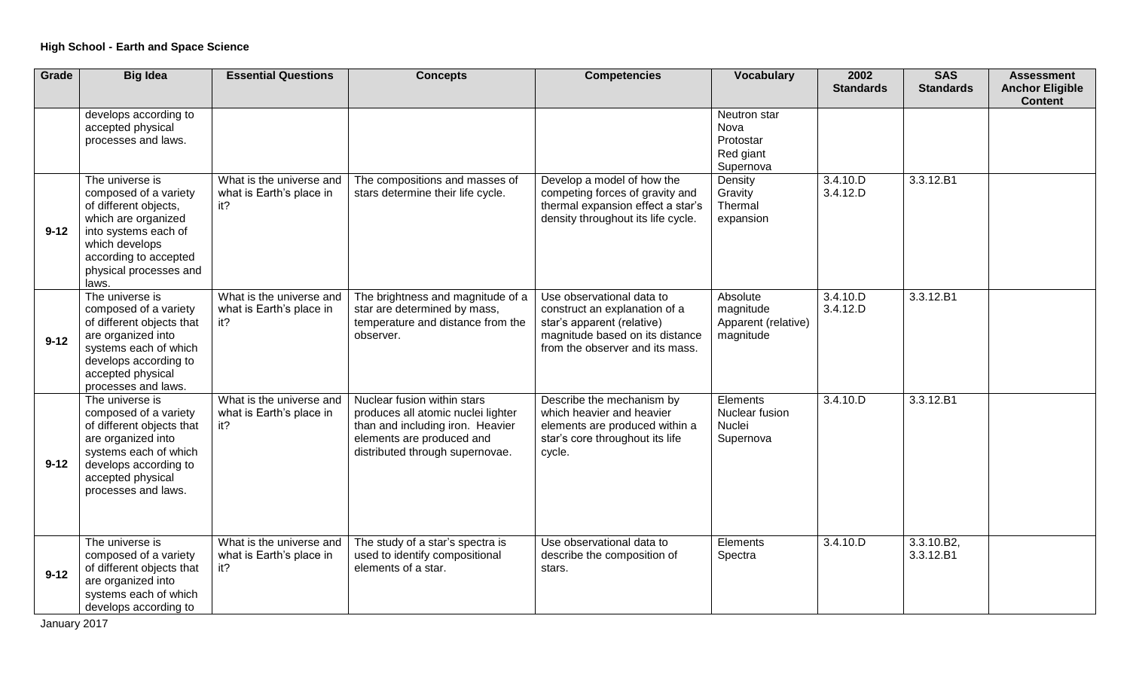| Grade    | <b>Big Idea</b>                                                                                                                                                                                | <b>Essential Questions</b>                                  | <b>Concepts</b>                                                                                                                                                       | <b>Competencies</b>                                                                                                                                            | <b>Vocabulary</b>                                           | 2002<br><b>Standards</b> | <b>SAS</b><br><b>Standards</b> | <b>Assessment</b><br><b>Anchor Eligible</b><br><b>Content</b> |
|----------|------------------------------------------------------------------------------------------------------------------------------------------------------------------------------------------------|-------------------------------------------------------------|-----------------------------------------------------------------------------------------------------------------------------------------------------------------------|----------------------------------------------------------------------------------------------------------------------------------------------------------------|-------------------------------------------------------------|--------------------------|--------------------------------|---------------------------------------------------------------|
|          | develops according to<br>accepted physical<br>processes and laws.                                                                                                                              |                                                             |                                                                                                                                                                       |                                                                                                                                                                | Neutron star<br>Nova<br>Protostar<br>Red giant<br>Supernova |                          |                                |                                                               |
| $9 - 12$ | The universe is<br>composed of a variety<br>of different objects,<br>which are organized<br>into systems each of<br>which develops<br>according to accepted<br>physical processes and<br>laws. | What is the universe and<br>what is Earth's place in<br>it? | The compositions and masses of<br>stars determine their life cycle.                                                                                                   | Develop a model of how the<br>competing forces of gravity and<br>thermal expansion effect a star's<br>density throughout its life cycle.                       | Density<br>Gravity<br>Thermal<br>expansion                  | 3.4.10.D<br>3.4.12.D     | 3.3.12.B1                      |                                                               |
| $9 - 12$ | The universe is<br>composed of a variety<br>of different objects that<br>are organized into<br>systems each of which<br>develops according to<br>accepted physical<br>processes and laws.      | What is the universe and<br>what is Earth's place in<br>it? | The brightness and magnitude of a<br>star are determined by mass,<br>temperature and distance from the<br>observer.                                                   | Use observational data to<br>construct an explanation of a<br>star's apparent (relative)<br>magnitude based on its distance<br>from the observer and its mass. | Absolute<br>magnitude<br>Apparent (relative)<br>magnitude   | 3.4.10.D<br>3.4.12.D     | 3.3.12.B1                      |                                                               |
| $9 - 12$ | The universe is<br>composed of a variety<br>of different objects that<br>are organized into<br>systems each of which<br>develops according to<br>accepted physical<br>processes and laws.      | What is the universe and<br>what is Earth's place in<br>it? | Nuclear fusion within stars<br>produces all atomic nuclei lighter<br>than and including iron. Heavier<br>elements are produced and<br>distributed through supernovae. | Describe the mechanism by<br>which heavier and heavier<br>elements are produced within a<br>star's core throughout its life<br>cycle.                          | Elements<br>Nuclear fusion<br>Nuclei<br>Supernova           | 3.4.10.D                 | 3.3.12.B1                      |                                                               |
| $9 - 12$ | The universe is<br>composed of a variety<br>of different objects that<br>are organized into<br>systems each of which<br>develops according to                                                  | What is the universe and<br>what is Earth's place in<br>it? | The study of a star's spectra is<br>used to identify compositional<br>elements of a star.                                                                             | Use observational data to<br>describe the composition of<br>stars.                                                                                             | Elements<br>Spectra                                         | 3.4.10.D                 | 3.3.10.B2,<br>3.3.12.B1        |                                                               |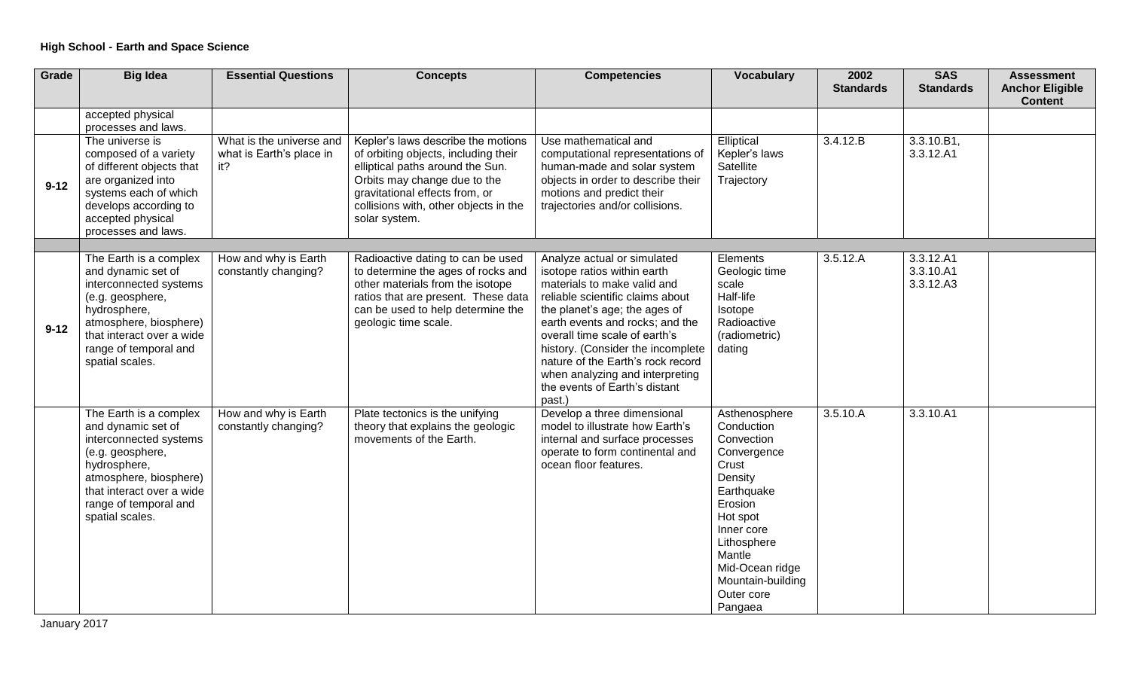| Grade    | <b>Big Idea</b>                                                                                                                                                                                               | <b>Essential Questions</b>                                  | <b>Concepts</b>                                                                                                                                                                                                                            | <b>Competencies</b>                                                                                                                                                                                                                                                                                                                                                                        | <b>Vocabulary</b>                                                                                                                                                                                                         | 2002<br><b>Standards</b> | <b>SAS</b><br><b>Standards</b>      | <b>Assessment</b><br><b>Anchor Eligible</b> |
|----------|---------------------------------------------------------------------------------------------------------------------------------------------------------------------------------------------------------------|-------------------------------------------------------------|--------------------------------------------------------------------------------------------------------------------------------------------------------------------------------------------------------------------------------------------|--------------------------------------------------------------------------------------------------------------------------------------------------------------------------------------------------------------------------------------------------------------------------------------------------------------------------------------------------------------------------------------------|---------------------------------------------------------------------------------------------------------------------------------------------------------------------------------------------------------------------------|--------------------------|-------------------------------------|---------------------------------------------|
|          |                                                                                                                                                                                                               |                                                             |                                                                                                                                                                                                                                            |                                                                                                                                                                                                                                                                                                                                                                                            |                                                                                                                                                                                                                           |                          |                                     | <b>Content</b>                              |
|          | accepted physical<br>processes and laws.                                                                                                                                                                      |                                                             |                                                                                                                                                                                                                                            |                                                                                                                                                                                                                                                                                                                                                                                            |                                                                                                                                                                                                                           |                          |                                     |                                             |
| $9 - 12$ | The universe is<br>composed of a variety<br>of different objects that<br>are organized into<br>systems each of which<br>develops according to<br>accepted physical<br>processes and laws.                     | What is the universe and<br>what is Earth's place in<br>it? | Kepler's laws describe the motions<br>of orbiting objects, including their<br>elliptical paths around the Sun.<br>Orbits may change due to the<br>gravitational effects from, or<br>collisions with, other objects in the<br>solar system. | Use mathematical and<br>computational representations of<br>human-made and solar system<br>objects in order to describe their<br>motions and predict their<br>trajectories and/or collisions.                                                                                                                                                                                              | Elliptical<br>Kepler's laws<br>Satellite<br>Trajectory                                                                                                                                                                    | 3.4.12.B                 | 3.3.10.B1,<br>3.3.12.A1             |                                             |
|          |                                                                                                                                                                                                               |                                                             |                                                                                                                                                                                                                                            |                                                                                                                                                                                                                                                                                                                                                                                            |                                                                                                                                                                                                                           |                          |                                     |                                             |
| $9 - 12$ | The Earth is a complex<br>and dynamic set of<br>interconnected systems<br>(e.g. geosphere,<br>hydrosphere,<br>atmosphere, biosphere)<br>that interact over a wide<br>range of temporal and<br>spatial scales. | How and why is Earth<br>constantly changing?                | Radioactive dating to can be used<br>to determine the ages of rocks and<br>other materials from the isotope<br>ratios that are present. These data<br>can be used to help determine the<br>geologic time scale.                            | Analyze actual or simulated<br>isotope ratios within earth<br>materials to make valid and<br>reliable scientific claims about<br>the planet's age; the ages of<br>earth events and rocks; and the<br>overall time scale of earth's<br>history. (Consider the incomplete<br>nature of the Earth's rock record<br>when analyzing and interpreting<br>the events of Earth's distant<br>past.) | Elements<br>Geologic time<br>scale<br>Half-life<br>Isotope<br>Radioactive<br>(radiometric)<br>dating                                                                                                                      | 3.5.12.A                 | 3.3.12.A1<br>3.3.10.A1<br>3.3.12.A3 |                                             |
|          | The Earth is a complex<br>and dynamic set of<br>interconnected systems<br>(e.g. geosphere,<br>hydrosphere,<br>atmosphere, biosphere)<br>that interact over a wide<br>range of temporal and<br>spatial scales. | How and why is Earth<br>constantly changing?                | Plate tectonics is the unifying<br>theory that explains the geologic<br>movements of the Earth.                                                                                                                                            | Develop a three dimensional<br>model to illustrate how Earth's<br>internal and surface processes<br>operate to form continental and<br>ocean floor features.                                                                                                                                                                                                                               | Asthenosphere<br>Conduction<br>Convection<br>Convergence<br>Crust<br>Density<br>Earthquake<br>Erosion<br>Hot spot<br>Inner core<br>Lithosphere<br>Mantle<br>Mid-Ocean ridge<br>Mountain-building<br>Outer core<br>Pangaea | 3.5.10.A                 | 3.3.10.A1                           |                                             |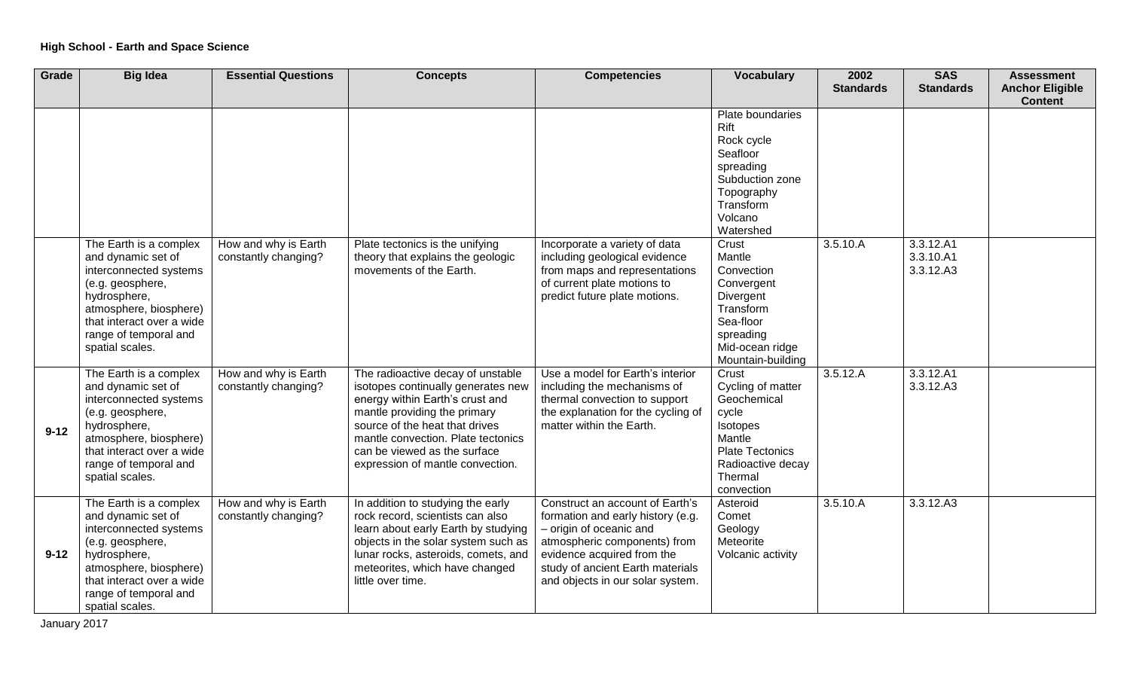| Grade    | <b>Big Idea</b>                                                                                                                                                                                               | <b>Essential Questions</b>                   | <b>Concepts</b>                                                                                                                                                                                                                                                                        | <b>Competencies</b>                                                                                                                                                                                                                   | <b>Vocabulary</b>                                                                                                                                | 2002<br><b>Standards</b> | <b>SAS</b><br><b>Standards</b>      | <b>Assessment</b><br><b>Anchor Eligible</b><br><b>Content</b> |
|----------|---------------------------------------------------------------------------------------------------------------------------------------------------------------------------------------------------------------|----------------------------------------------|----------------------------------------------------------------------------------------------------------------------------------------------------------------------------------------------------------------------------------------------------------------------------------------|---------------------------------------------------------------------------------------------------------------------------------------------------------------------------------------------------------------------------------------|--------------------------------------------------------------------------------------------------------------------------------------------------|--------------------------|-------------------------------------|---------------------------------------------------------------|
|          |                                                                                                                                                                                                               |                                              |                                                                                                                                                                                                                                                                                        |                                                                                                                                                                                                                                       | Plate boundaries<br>Rift<br>Rock cycle<br>Seafloor<br>spreading<br>Subduction zone<br>Topography<br>Transform<br>Volcano<br>Watershed            |                          |                                     |                                                               |
|          | The Earth is a complex<br>and dynamic set of<br>interconnected systems<br>(e.g. geosphere,<br>hydrosphere,<br>atmosphere, biosphere)<br>that interact over a wide<br>range of temporal and<br>spatial scales. | How and why is Earth<br>constantly changing? | Plate tectonics is the unifying<br>theory that explains the geologic<br>movements of the Earth.                                                                                                                                                                                        | Incorporate a variety of data<br>including geological evidence<br>from maps and representations<br>of current plate motions to<br>predict future plate motions.                                                                       | Crust<br>Mantle<br>Convection<br>Convergent<br>Divergent<br>Transform<br>Sea-floor<br>spreading<br>Mid-ocean ridge<br>Mountain-building          | 3.5.10.A                 | 3.3.12.A1<br>3.3.10.A1<br>3.3.12.A3 |                                                               |
| $9 - 12$ | The Earth is a complex<br>and dynamic set of<br>interconnected systems<br>(e.g. geosphere,<br>hydrosphere,<br>atmosphere, biosphere)<br>that interact over a wide<br>range of temporal and<br>spatial scales. | How and why is Earth<br>constantly changing? | The radioactive decay of unstable<br>isotopes continually generates new<br>energy within Earth's crust and<br>mantle providing the primary<br>source of the heat that drives<br>mantle convection. Plate tectonics<br>can be viewed as the surface<br>expression of mantle convection. | Use a model for Earth's interior<br>including the mechanisms of<br>thermal convection to support<br>the explanation for the cycling of<br>matter within the Earth.                                                                    | Crust<br>Cycling of matter<br>Geochemical<br>cycle<br>Isotopes<br>Mantle<br><b>Plate Tectonics</b><br>Radioactive decay<br>Thermal<br>convection | 3.5.12.A                 | 3.3.12.A1<br>3.3.12.A3              |                                                               |
| $9 - 12$ | The Earth is a complex<br>and dynamic set of<br>interconnected systems<br>(e.g. geosphere,<br>hydrosphere,<br>atmosphere, biosphere)<br>that interact over a wide<br>range of temporal and<br>spatial scales. | How and why is Earth<br>constantly changing? | In addition to studying the early<br>rock record, scientists can also<br>learn about early Earth by studying<br>objects in the solar system such as<br>lunar rocks, asteroids, comets, and<br>meteorites, which have changed<br>little over time.                                      | Construct an account of Earth's<br>formation and early history (e.g.<br>- origin of oceanic and<br>atmospheric components) from<br>evidence acquired from the<br>study of ancient Earth materials<br>and objects in our solar system. | Asteroid<br>Comet<br>Geology<br>Meteorite<br>Volcanic activity                                                                                   | 3.5.10.A                 | 3.3.12.A3                           |                                                               |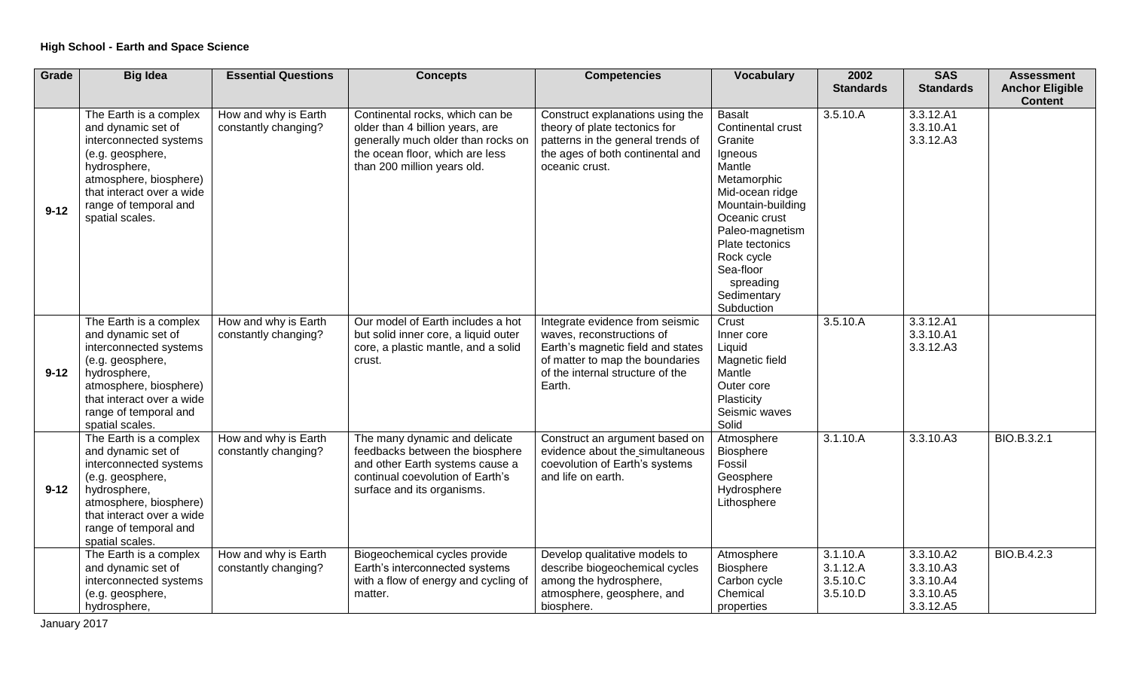| Grade    | <b>Big Idea</b>                                                                                                                                                                                               | <b>Essential Questions</b>                   | <b>Concepts</b>                                                                                                                                                            | <b>Competencies</b>                                                                                                                                                                | <b>Vocabulary</b>                                                                                                                                                                                                                                     | 2002<br><b>Standards</b>                     | <b>SAS</b><br><b>Standards</b>                                | <b>Assessment</b><br><b>Anchor Eligible</b><br><b>Content</b> |
|----------|---------------------------------------------------------------------------------------------------------------------------------------------------------------------------------------------------------------|----------------------------------------------|----------------------------------------------------------------------------------------------------------------------------------------------------------------------------|------------------------------------------------------------------------------------------------------------------------------------------------------------------------------------|-------------------------------------------------------------------------------------------------------------------------------------------------------------------------------------------------------------------------------------------------------|----------------------------------------------|---------------------------------------------------------------|---------------------------------------------------------------|
| $9 - 12$ | The Earth is a complex<br>and dynamic set of<br>interconnected systems<br>(e.g. geosphere,<br>hydrosphere,<br>atmosphere, biosphere)<br>that interact over a wide<br>range of temporal and<br>spatial scales. | How and why is Earth<br>constantly changing? | Continental rocks, which can be<br>older than 4 billion years, are<br>generally much older than rocks on<br>the ocean floor, which are less<br>than 200 million years old. | Construct explanations using the<br>theory of plate tectonics for<br>patterns in the general trends of<br>the ages of both continental and<br>oceanic crust.                       | <b>Basalt</b><br>Continental crust<br>Granite<br>Igneous<br>Mantle<br>Metamorphic<br>Mid-ocean ridge<br>Mountain-building<br>Oceanic crust<br>Paleo-magnetism<br>Plate tectonics<br>Rock cycle<br>Sea-floor<br>spreading<br>Sedimentary<br>Subduction | 3.5.10.A                                     | 3.3.12.A1<br>3.3.10.A1<br>3.3.12.A3                           |                                                               |
| $9 - 12$ | The Earth is a complex<br>and dynamic set of<br>interconnected systems<br>(e.g. geosphere,<br>hydrosphere,<br>atmosphere, biosphere)<br>that interact over a wide<br>range of temporal and<br>spatial scales. | How and why is Earth<br>constantly changing? | Our model of Earth includes a hot<br>but solid inner core, a liquid outer<br>core, a plastic mantle, and a solid<br>crust.                                                 | Integrate evidence from seismic<br>waves, reconstructions of<br>Earth's magnetic field and states<br>of matter to map the boundaries<br>of the internal structure of the<br>Earth. | Crust<br>Inner core<br>Liquid<br>Magnetic field<br>Mantle<br>Outer core<br>Plasticity<br>Seismic waves<br>Solid                                                                                                                                       | 3.5.10.A                                     | 3.3.12.A1<br>3.3.10.A1<br>3.3.12.A3                           |                                                               |
| $9 - 12$ | The Earth is a complex<br>and dynamic set of<br>interconnected systems<br>(e.g. geosphere,<br>hydrosphere,<br>atmosphere, biosphere)<br>that interact over a wide<br>range of temporal and<br>spatial scales. | How and why is Earth<br>constantly changing? | The many dynamic and delicate<br>feedbacks between the biosphere<br>and other Earth systems cause a<br>continual coevolution of Earth's<br>surface and its organisms.      | Construct an argument based on<br>evidence about the simultaneous<br>coevolution of Earth's systems<br>and life on earth.                                                          | Atmosphere<br>Biosphere<br>Fossil<br>Geosphere<br>Hydrosphere<br>Lithosphere                                                                                                                                                                          | 3.1.10.A                                     | 3.3.10.A3                                                     | BIO.B.3.2.1                                                   |
|          | The Earth is a complex<br>and dynamic set of<br>interconnected systems<br>(e.g. geosphere,<br>hydrosphere,                                                                                                    | How and why is Earth<br>constantly changing? | Biogeochemical cycles provide<br>Earth's interconnected systems<br>with a flow of energy and cycling of<br>matter.                                                         | Develop qualitative models to<br>describe biogeochemical cycles<br>among the hydrosphere,<br>atmosphere, geosphere, and<br>biosphere.                                              | Atmosphere<br><b>Biosphere</b><br>Carbon cycle<br>Chemical<br>properties                                                                                                                                                                              | 3.1.10.A<br>3.1.12.A<br>3.5.10.C<br>3.5.10.D | 3.3.10.A2<br>3.3.10.A3<br>3.3.10.A4<br>3.3.10.A5<br>3.3.12.A5 | BIO.B.4.2.3                                                   |

January 2017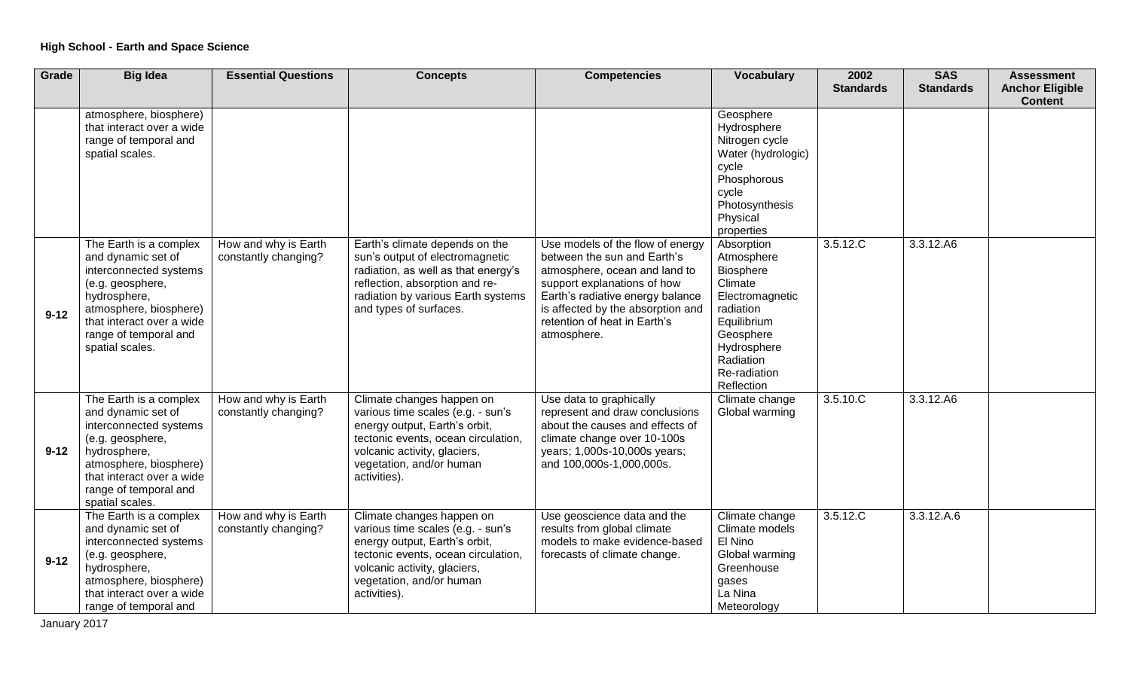| Grade    | <b>Big Idea</b>                                                                                                                                                                                               | <b>Essential Questions</b>                   | <b>Concepts</b>                                                                                                                                                                                                    | <b>Competencies</b>                                                                                                                                                                                                                                     | <b>Vocabulary</b>                                                                                                                                                      | 2002<br><b>Standards</b> | <b>SAS</b><br><b>Standards</b> | <b>Assessment</b><br><b>Anchor Eligible</b> |
|----------|---------------------------------------------------------------------------------------------------------------------------------------------------------------------------------------------------------------|----------------------------------------------|--------------------------------------------------------------------------------------------------------------------------------------------------------------------------------------------------------------------|---------------------------------------------------------------------------------------------------------------------------------------------------------------------------------------------------------------------------------------------------------|------------------------------------------------------------------------------------------------------------------------------------------------------------------------|--------------------------|--------------------------------|---------------------------------------------|
|          |                                                                                                                                                                                                               |                                              |                                                                                                                                                                                                                    |                                                                                                                                                                                                                                                         |                                                                                                                                                                        |                          |                                | <b>Content</b>                              |
|          | atmosphere, biosphere)<br>that interact over a wide<br>range of temporal and<br>spatial scales.                                                                                                               |                                              |                                                                                                                                                                                                                    |                                                                                                                                                                                                                                                         | Geosphere<br>Hydrosphere<br>Nitrogen cycle<br>Water (hydrologic)<br>cycle<br>Phosphorous<br>cycle<br>Photosynthesis<br>Physical<br>properties                          |                          |                                |                                             |
| $9 - 12$ | The Earth is a complex<br>and dynamic set of<br>interconnected systems<br>(e.g. geosphere,<br>hydrosphere,<br>atmosphere, biosphere)<br>that interact over a wide<br>range of temporal and<br>spatial scales. | How and why is Earth<br>constantly changing? | Earth's climate depends on the<br>sun's output of electromagnetic<br>radiation, as well as that energy's<br>reflection, absorption and re-<br>radiation by various Earth systems<br>and types of surfaces.         | Use models of the flow of energy<br>between the sun and Earth's<br>atmosphere, ocean and land to<br>support explanations of how<br>Earth's radiative energy balance<br>is affected by the absorption and<br>retention of heat in Earth's<br>atmosphere. | Absorption<br>Atmosphere<br>Biosphere<br>Climate<br>Electromagnetic<br>radiation<br>Equilibrium<br>Geosphere<br>Hydrosphere<br>Radiation<br>Re-radiation<br>Reflection | 3.5.12.C                 | 3.3.12.A6                      |                                             |
| $9 - 12$ | The Earth is a complex<br>and dynamic set of<br>interconnected systems<br>(e.g. geosphere,<br>hydrosphere,<br>atmosphere, biosphere)<br>that interact over a wide<br>range of temporal and<br>spatial scales. | How and why is Earth<br>constantly changing? | Climate changes happen on<br>various time scales (e.g. - sun's<br>energy output, Earth's orbit,<br>tectonic events, ocean circulation,<br>volcanic activity, glaciers,<br>vegetation, and/or human<br>activities). | Use data to graphically<br>represent and draw conclusions<br>about the causes and effects of<br>climate change over 10-100s<br>years; 1,000s-10,000s years;<br>and 100,000s-1,000,000s.                                                                 | Climate change<br>Global warming                                                                                                                                       | 3.5.10 C                 | 3.3.12.A6                      |                                             |
| $9 - 12$ | The Earth is a complex<br>and dynamic set of<br>interconnected systems<br>(e.g. geosphere,<br>hydrosphere,<br>atmosphere, biosphere)<br>that interact over a wide<br>range of temporal and                    | How and why is Earth<br>constantly changing? | Climate changes happen on<br>various time scales (e.g. - sun's<br>energy output, Earth's orbit,<br>tectonic events, ocean circulation,<br>volcanic activity, glaciers,<br>vegetation, and/or human<br>activities). | Use geoscience data and the<br>results from global climate<br>models to make evidence-based<br>forecasts of climate change.                                                                                                                             | Climate change<br>Climate models<br>El Nino<br>Global warming<br>Greenhouse<br>gases<br>La Nina<br>Meteorology                                                         | 3.5.12.C                 | 3.3.12.A.6                     |                                             |

January 2017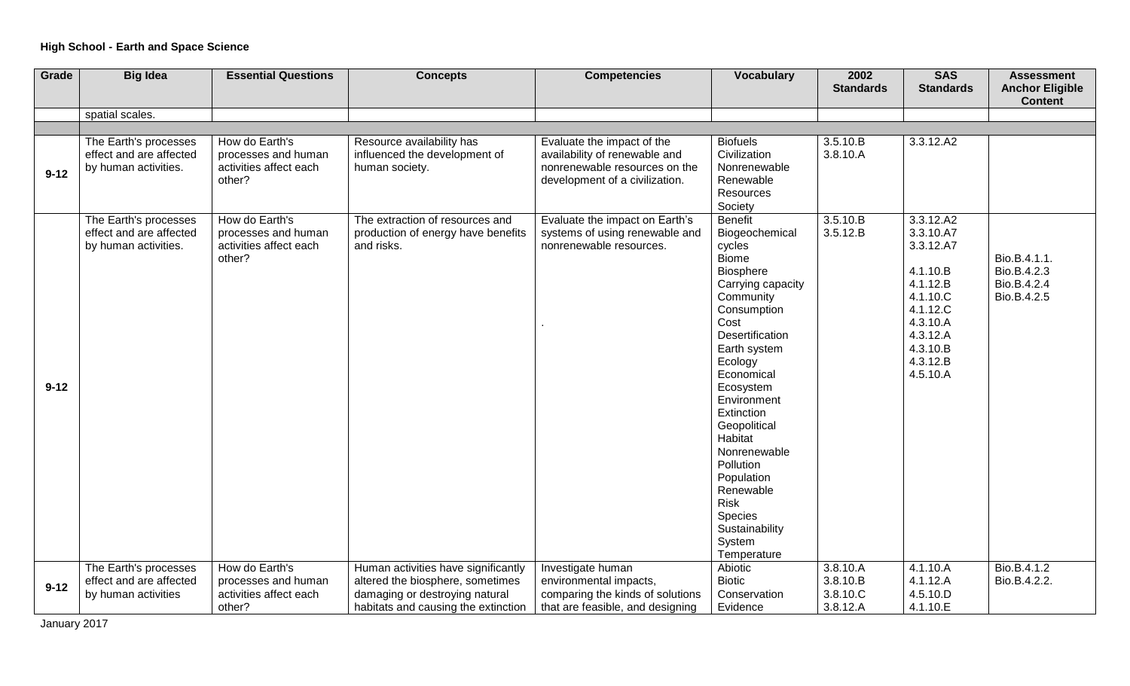| Grade    | <b>Big Idea</b>                                                          | <b>Essential Questions</b>                                                | <b>Concepts</b>                                                                                                                                  | <b>Competencies</b>                                                                                                            | <b>Vocabulary</b>                                                                                                                                                                                                                                                                                                                                                                       | 2002<br><b>Standards</b>                     | <b>SAS</b><br><b>Standards</b>                                                                                                                               | <b>Assessment</b><br><b>Anchor Eligible</b><br><b>Content</b> |
|----------|--------------------------------------------------------------------------|---------------------------------------------------------------------------|--------------------------------------------------------------------------------------------------------------------------------------------------|--------------------------------------------------------------------------------------------------------------------------------|-----------------------------------------------------------------------------------------------------------------------------------------------------------------------------------------------------------------------------------------------------------------------------------------------------------------------------------------------------------------------------------------|----------------------------------------------|--------------------------------------------------------------------------------------------------------------------------------------------------------------|---------------------------------------------------------------|
|          | spatial scales.                                                          |                                                                           |                                                                                                                                                  |                                                                                                                                |                                                                                                                                                                                                                                                                                                                                                                                         |                                              |                                                                                                                                                              |                                                               |
|          |                                                                          |                                                                           |                                                                                                                                                  |                                                                                                                                |                                                                                                                                                                                                                                                                                                                                                                                         |                                              |                                                                                                                                                              |                                                               |
| $9 - 12$ | The Earth's processes<br>effect and are affected<br>by human activities. | How do Earth's<br>processes and human<br>activities affect each<br>other? | Resource availability has<br>influenced the development of<br>human society.                                                                     | Evaluate the impact of the<br>availability of renewable and<br>nonrenewable resources on the<br>development of a civilization. | <b>Biofuels</b><br>Civilization<br>Nonrenewable<br>Renewable<br>Resources<br>Society                                                                                                                                                                                                                                                                                                    | 3.5.10.B<br>3.8.10.A                         | 3.3.12.A2                                                                                                                                                    |                                                               |
| $9 - 12$ | The Earth's processes<br>effect and are affected<br>by human activities. | How do Earth's<br>processes and human<br>activities affect each<br>other? | The extraction of resources and<br>production of energy have benefits<br>and risks.                                                              | Evaluate the impact on Earth's<br>systems of using renewable and<br>nonrenewable resources.                                    | Benefit<br>Biogeochemical<br>cycles<br><b>Biome</b><br>Biosphere<br>Carrying capacity<br>Community<br>Consumption<br>Cost<br><b>Desertification</b><br>Earth system<br>Ecology<br>Economical<br>Ecosystem<br>Environment<br>Extinction<br>Geopolitical<br>Habitat<br>Nonrenewable<br>Pollution<br>Population<br>Renewable<br>Risk<br>Species<br>Sustainability<br>System<br>Temperature | 3.5.10.B<br>3.5.12.B                         | 3.3.12.A2<br>3.3.10.A7<br>3.3.12.A7<br>4.1.10.B<br>4.1.12.B<br>4.1.10 <sub>.</sub> C<br>4.1.12.C<br>4.3.10.A<br>4.3.12.A<br>4.3.10.B<br>4.3.12.B<br>4.5.10.A | Bio.B.4.1.1.<br>Bio.B.4.2.3<br>Bio.B.4.2.4<br>Bio.B.4.2.5     |
| $9 - 12$ | The Earth's processes<br>effect and are affected<br>by human activities  | How do Earth's<br>processes and human<br>activities affect each<br>other? | Human activities have significantly<br>altered the biosphere, sometimes<br>damaging or destroying natural<br>habitats and causing the extinction | Investigate human<br>environmental impacts,<br>comparing the kinds of solutions<br>that are feasible, and designing            | Abiotic<br><b>Biotic</b><br>Conservation<br>Evidence                                                                                                                                                                                                                                                                                                                                    | 3.8.10.A<br>3.8.10.B<br>3.8.10.C<br>3.8.12.A | 4.1.10.A<br>4.1.12.A<br>4.5.10.D<br>4.1.10.E                                                                                                                 | Bio.B.4.1.2<br>Bio.B.4.2.2.                                   |

January 2017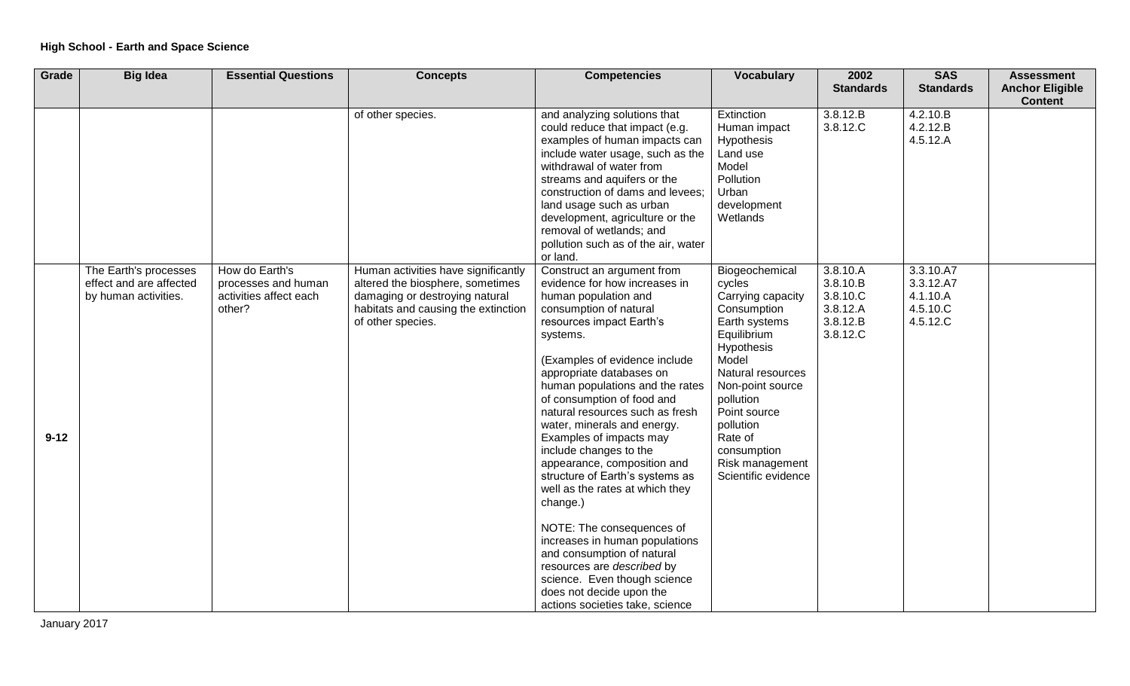| Grade    | <b>Big Idea</b>                                                          | <b>Essential Questions</b>                                                | <b>Concepts</b>                                                                                                                                                       | <b>Competencies</b>                                                                                                                                                                                                                                                                                                                                                                                                                                                                                                                                                                                                                                                                                                                                   | <b>Vocabulary</b>                                                                                                                                                                                                                                                          | 2002<br><b>Standards</b>                                             | <b>SAS</b><br><b>Standards</b>                             | <b>Assessment</b><br><b>Anchor Eligible</b> |
|----------|--------------------------------------------------------------------------|---------------------------------------------------------------------------|-----------------------------------------------------------------------------------------------------------------------------------------------------------------------|-------------------------------------------------------------------------------------------------------------------------------------------------------------------------------------------------------------------------------------------------------------------------------------------------------------------------------------------------------------------------------------------------------------------------------------------------------------------------------------------------------------------------------------------------------------------------------------------------------------------------------------------------------------------------------------------------------------------------------------------------------|----------------------------------------------------------------------------------------------------------------------------------------------------------------------------------------------------------------------------------------------------------------------------|----------------------------------------------------------------------|------------------------------------------------------------|---------------------------------------------|
|          |                                                                          |                                                                           |                                                                                                                                                                       |                                                                                                                                                                                                                                                                                                                                                                                                                                                                                                                                                                                                                                                                                                                                                       |                                                                                                                                                                                                                                                                            |                                                                      |                                                            | <b>Content</b>                              |
|          |                                                                          |                                                                           | of other species.                                                                                                                                                     | and analyzing solutions that<br>could reduce that impact (e.g.<br>examples of human impacts can<br>include water usage, such as the<br>withdrawal of water from<br>streams and aquifers or the<br>construction of dams and levees;<br>land usage such as urban<br>development, agriculture or the<br>removal of wetlands; and<br>pollution such as of the air, water<br>or land.                                                                                                                                                                                                                                                                                                                                                                      | Extinction<br>Human impact<br>Hypothesis<br>Land use<br>Model<br>Pollution<br>Urban<br>development<br>Wetlands                                                                                                                                                             | 3.8.12.B<br>3.8.12.C                                                 | 4.2.10.B<br>4.2.12.B<br>4.5.12.A                           |                                             |
| $9 - 12$ | The Earth's processes<br>effect and are affected<br>by human activities. | How do Earth's<br>processes and human<br>activities affect each<br>other? | Human activities have significantly<br>altered the biosphere, sometimes<br>damaging or destroying natural<br>habitats and causing the extinction<br>of other species. | Construct an argument from<br>evidence for how increases in<br>human population and<br>consumption of natural<br>resources impact Earth's<br>systems.<br>(Examples of evidence include<br>appropriate databases on<br>human populations and the rates<br>of consumption of food and<br>natural resources such as fresh<br>water, minerals and energy.<br>Examples of impacts may<br>include changes to the<br>appearance, composition and<br>structure of Earth's systems as<br>well as the rates at which they<br>change.)<br>NOTE: The consequences of<br>increases in human populations<br>and consumption of natural<br>resources are described by<br>science. Even though science<br>does not decide upon the<br>actions societies take, science | Biogeochemical<br>cycles<br>Carrying capacity<br>Consumption<br>Earth systems<br>Equilibrium<br>Hypothesis<br>Model<br>Natural resources<br>Non-point source<br>pollution<br>Point source<br>pollution<br>Rate of<br>consumption<br>Risk management<br>Scientific evidence | 3.8.10.A<br>3.8.10.B<br>3.8.10.C<br>3.8.12.A<br>3.8.12.B<br>3.8.12.C | 3.3.10.A7<br>3.3.12.A7<br>4.1.10.A<br>4.5.10.C<br>4.5.12.C |                                             |